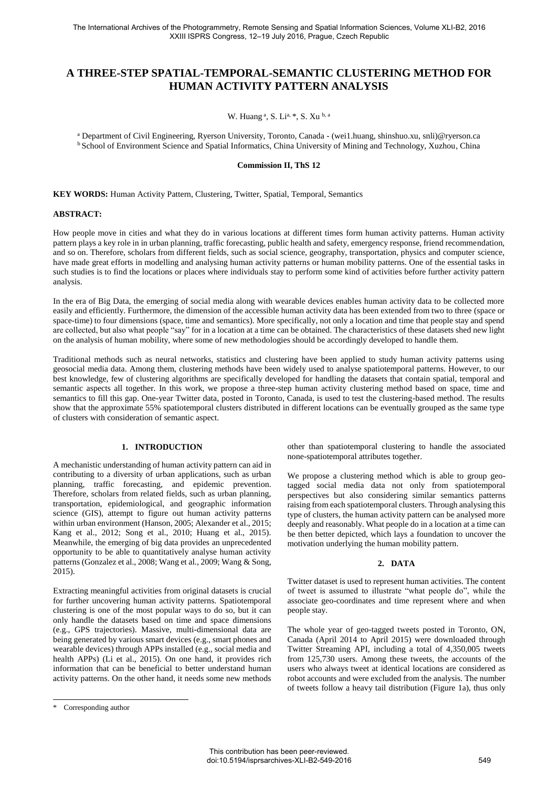# **A THREE-STEP SPATIAL-TEMPORAL-SEMANTIC CLUSTERING METHOD FOR HUMAN ACTIVITY PATTERN ANALYSIS**

W. Huang<sup>a</sup>, S. Li<sup>a, \*</sup>, S. Xu<sup>b, a</sup>

a Department of Civil Engineering, Ryerson University, Toronto, Canada - (wei1.huang, shinshuo.xu, snli)@ryerson.ca <sup>b</sup> School of Environment Science and Spatial Informatics, China University of Mining and Technology, Xuzhou, China

# **Commission II, ThS 12**

**KEY WORDS:** Human Activity Pattern, Clustering, Twitter, Spatial, Temporal, Semantics

#### **ABSTRACT:**

How people move in cities and what they do in various locations at different times form human activity patterns. Human activity pattern plays a key role in in urban planning, traffic forecasting, public health and safety, emergency response, friend recommendation, and so on. Therefore, scholars from different fields, such as social science, geography, transportation, physics and computer science, have made great efforts in modelling and analysing human activity patterns or human mobility patterns. One of the essential tasks in such studies is to find the locations or places where individuals stay to perform some kind of activities before further activity pattern analysis.

In the era of Big Data, the emerging of social media along with wearable devices enables human activity data to be collected more easily and efficiently. Furthermore, the dimension of the accessible human activity data has been extended from two to three (space or space-time) to four dimensions (space, time and semantics). More specifically, not only a location and time that people stay and spend are collected, but also what people "say" for in a location at a time can be obtained. The characteristics of these datasets shed new light on the analysis of human mobility, where some of new methodologies should be accordingly developed to handle them.

Traditional methods such as neural networks, statistics and clustering have been applied to study human activity patterns using geosocial media data. Among them, clustering methods have been widely used to analyse spatiotemporal patterns. However, to our best knowledge, few of clustering algorithms are specifically developed for handling the datasets that contain spatial, temporal and semantic aspects all together. In this work, we propose a three-step human activity clustering method based on space, time and semantics to fill this gap. One-year Twitter data, posted in Toronto, Canada, is used to test the clustering-based method. The results show that the approximate 55% spatiotemporal clusters distributed in different locations can be eventually grouped as the same type of clusters with consideration of semantic aspect.

## **1. INTRODUCTION**

A mechanistic understanding of human activity pattern can aid in contributing to a diversity of urban applications, such as urban planning, traffic forecasting, and epidemic prevention. Therefore, scholars from related fields, such as urban planning, transportation, epidemiological, and geographic information science (GIS), attempt to figure out human activity patterns within urban environment (Hanson, 2005; Alexander et al., 2015; Kang et al., 2012; Song et al., 2010; Huang et al., 2015). Meanwhile, the emerging of big data provides an unprecedented opportunity to be able to quantitatively analyse human activity patterns (Gonzalez et al., 2008; Wang et al., 2009; Wang & Song, 2015).

Extracting meaningful activities from original datasets is crucial for further uncovering human activity patterns. Spatiotemporal clustering is one of the most popular ways to do so, but it can only handle the datasets based on time and space dimensions (e.g., GPS trajectories). Massive, multi-dimensional data are being generated by various smart devices (e.g., smart phones and wearable devices) through APPs installed (e.g., social media and health APPs) (Li et al., 2015). On one hand, it provides rich information that can be beneficial to better understand human activity patterns. On the other hand, it needs some new methods

1

other than spatiotemporal clustering to handle the associated none-spatiotemporal attributes together.

We propose a clustering method which is able to group geotagged social media data not only from spatiotemporal perspectives but also considering similar semantics patterns raising from each spatiotemporal clusters. Through analysing this type of clusters, the human activity pattern can be analysed more deeply and reasonably. What people do in a location at a time can be then better depicted, which lays a foundation to uncover the motivation underlying the human mobility pattern.

#### **2. DATA**

Twitter dataset is used to represent human activities. The content of tweet is assumed to illustrate "what people do", while the associate geo-coordinates and time represent where and when people stay.

The whole year of geo-tagged tweets posted in Toronto, ON, Canada (April 2014 to April 2015) were downloaded through Twitter Streaming API, including a total of 4,350,005 tweets from 125,730 users. Among these tweets, the accounts of the users who always tweet at identical locations are considered as robot accounts and were excluded from the analysis. The number of tweets follow a heavy tail distribution (Figure 1a), thus only

Corresponding author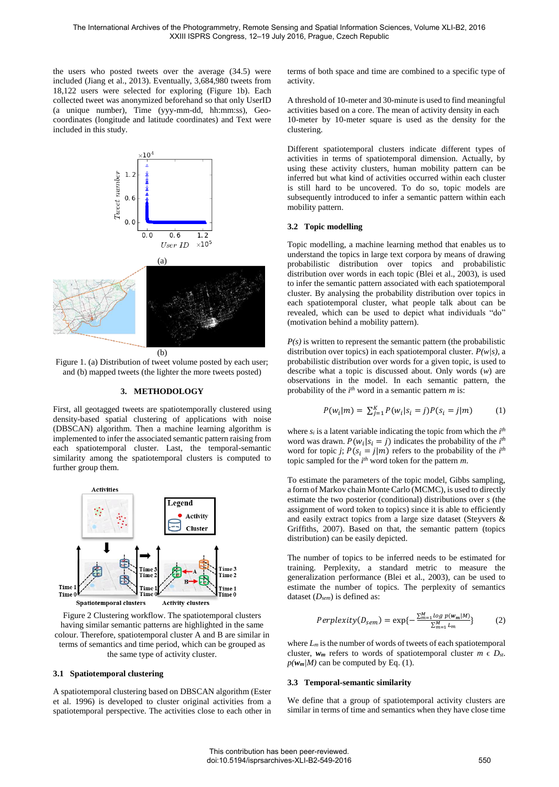the users who posted tweets over the average (34.5) were included (Jiang et al., 2013). Eventually, 3,684,980 tweets from 18,122 users were selected for exploring (Figure 1b). Each collected tweet was anonymized beforehand so that only UserID (a unique number), Time (yyy-mm-dd, hh:mm:ss), Geocoordinates (longitude and latitude coordinates) and Text were included in this study.



Figure 1. (a) Distribution of tweet volume posted by each user; and (b) mapped tweets (the lighter the more tweets posted)

# **3. METHODOLOGY**

First, all geotagged tweets are spatiotemporally clustered using density-based spatial clustering of applications with noise (DBSCAN) algorithm. Then a machine learning algorithm is implemented to infer the associated semantic pattern raising from each spatiotemporal cluster. Last, the temporal-semantic similarity among the spatiotemporal clusters is computed to further group them.



Figure 2 Clustering workflow. The spatiotemporal clusters having similar semantic patterns are highlighted in the same colour. Therefore, spatiotemporal cluster A and B are similar in terms of semantics and time period, which can be grouped as the same type of activity cluster.

#### **3.1 Spatiotemporal clustering**

A spatiotemporal clustering based on DBSCAN algorithm (Ester et al. 1996) is developed to cluster original activities from a spatiotemporal perspective. The activities close to each other in terms of both space and time are combined to a specific type of activity.

A threshold of 10-meter and 30-minute is used to find meaningful activities based on a core. The mean of activity density in each 10-meter by 10-meter square is used as the density for the clustering.

Different spatiotemporal clusters indicate different types of activities in terms of spatiotemporal dimension. Actually, by using these activity clusters, human mobility pattern can be inferred but what kind of activities occurred within each cluster is still hard to be uncovered. To do so, topic models are subsequently introduced to infer a semantic pattern within each mobility pattern.

#### **3.2 Topic modelling**

Topic modelling, a machine learning method that enables us to understand the topics in large text corpora by means of drawing probabilistic distribution over topics and probabilistic distribution over words in each topic (Blei et al., 2003), is used to infer the semantic pattern associated with each spatiotemporal cluster. By analysing the probability distribution over topics in each spatiotemporal cluster, what people talk about can be revealed, which can be used to depict what individuals "do" (motivation behind a mobility pattern).

 $P(s)$  is written to represent the semantic pattern (the probabilistic distribution over topics) in each spatiotemporal cluster. *P(w|s)*, a probabilistic distribution over words for a given topic, is used to describe what a topic is discussed about. Only words (*w*) are observations in the model. In each semantic pattern, the probability of the *i th* word in a semantic pattern *m* is:

$$
P(w_i|m) = \sum_{j=1}^{K} P(w_i|s_i = j)P(s_i = j|m)
$$
 (1)

where  $s_i$  is a latent variable indicating the topic from which the  $i<sup>th</sup>$ word was drawn.  $P(w_i | s_i = j)$  indicates the probability of the *i*<sup>th</sup> word for topic *j*;  $P(s_i = j|m)$  refers to the probability of the *i*<sup>th</sup> topic sampled for the *i th* word token for the pattern *m*.

To estimate the parameters of the topic model, Gibbs sampling, a form of Markov chain Monte Carlo (MCMC), is used to directly estimate the two posterior (conditional) distributions over *s* (the assignment of word token to topics) since it is able to efficiently and easily extract topics from a large size dataset (Steyvers & Griffiths, 2007). Based on that, the semantic pattern (topics distribution) can be easily depicted.

The number of topics to be inferred needs to be estimated for training. Perplexity, a standard metric to measure the generalization performance (Blei et al., 2003), can be used to estimate the number of topics. The perplexity of semantics dataset (*Dsem*) is defined as:

$$
Perplexity(D_{sem}) = \exp\{-\frac{\sum_{m=1}^{M} log \ p(w_m|M)}{\sum_{m=1}^{M} L_m}\}\tag{2}
$$

where *Lm* is the number of words of tweets of each spatiotemporal cluster,  $w_m$  refers to words of spatiotemporal cluster  $m \in D_{st}$ .  $p(\mathbf{w}_m|M)$  can be computed by Eq. (1).

#### **3.3 Temporal-semantic similarity**

We define that a group of spatiotemporal activity clusters are similar in terms of time and semantics when they have close time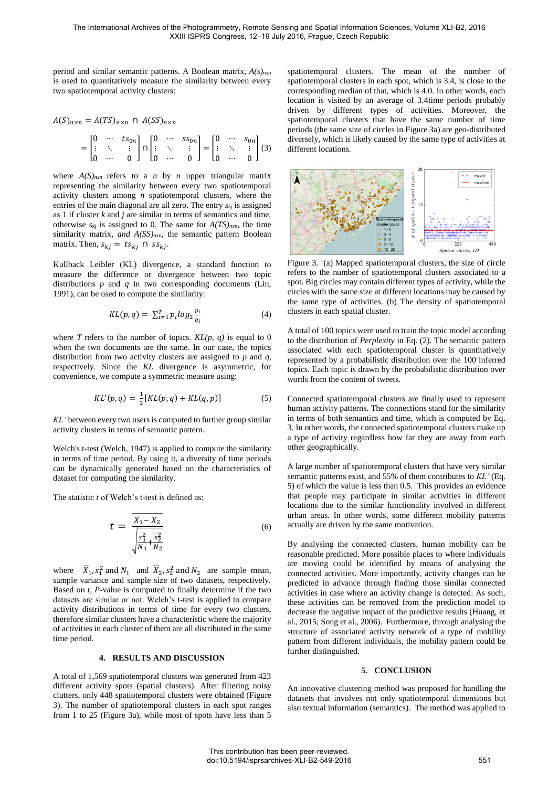period and similar semantic patterns. A Boolean matrix, *A(s)nxn* is used to quantitatively measure the similarity between every two spatiotemporal activity clusters:

$$
A(S)_{n \times n} = A(TS)_{n \times n} \cap A(SS)_{n \times n}
$$
  
= 
$$
\begin{bmatrix} 0 & \cdots & ts_{0n} \\ \vdots & \ddots & \vdots \\ 0 & \cdots & 0 \end{bmatrix} \cap \begin{bmatrix} 0 & \cdots & ss_{0n} \\ \vdots & \ddots & \vdots \\ 0 & \cdots & 0 \end{bmatrix} = \begin{bmatrix} 0 & \cdots & s_{0n} \\ \vdots & \ddots & \vdots \\ 0 & \cdots & 0 \end{bmatrix} (3)
$$

where  $A(S)_{n \times n}$  refers to a *n* by *n* upper triangular matrix representing the similarity between every two spatiotemporal activity clusters among *n* spatiotemporal clusters, where the entries of the main diagonal are all zero. The entry *skj* is assigned as 1 if cluster *k* and *j* are similar in terms of semantics and time, otherwise  $s_{kj}$  is assigned to 0. The same for  $A(TS)_{n x n}$ , the time similarity matrix, *and A(SS)nxn*, the semantic pattern Boolean matrix. Then,  $s_{kj} = ts_{kj} \cap ss_{kj}$ .

Kullback Leibler (KL) divergence, a standard function to measure the difference or divergence between two topic distributions *p* and *q* in two corresponding documents (Lin, 1991), can be used to compute the similarity:

$$
KL(p,q) = \sum_{i=1}^{T} p_i \log_2 \frac{p_i}{q_i}
$$
 (4)

where *T* refers to the number of topics.  $KL(p, q)$  is equal to 0 when the two documents are the same. In our case, the topics distribution from two activity clusters are assigned to *p* and *q,*  respectively. Since the *KL* divergence is asymmetric, for convenience, we compute a symmetric measure using:

$$
KL'(p,q) = \frac{1}{2}[KL(p,q) + KL(q,p)]
$$
 (5)

*KL'* between every two users is computed to further group similar activity clusters in terms of semantic pattern.

Welch's t-test (Welch, 1947) is applied to compute the similarity in terms of time period. By using it, a diversity of time periods can be dynamically generated based on the characteristics of dataset for computing the similarity.

The statistic *t* of Welch's t-test is defined as:

$$
t = \frac{\overline{\overline{X}_1 - \overline{X}_2}}{\sqrt{\frac{s_1^2}{N_1} + \frac{s_2^2}{N_2}}}
$$
(6)

where  $\overline{X}_1$ ,  $s_1^2$  and  $N_1$  and  $\overline{X}_2$ ,  $s_2^2$  and  $N_2$  are sample mean, sample variance and sample size of two datasets, respectively. Based on *t*, *P*-value is computed to finally determine if the two datasets are similar or not. Welch's t-test is applied to compare activity distributions in terms of time for every two clusters, therefore similar clusters have a characteristic where the majority of activities in each cluster of them are all distributed in the same time period.

# **4. RESULTS AND DISCUSSION**

A total of 1,569 spatiotemporal clusters was generated from 423 different activity spots (spatial clusters). After filtering noisy clutters, only 448 spatiotemporal clusters were obtained (Figure 3). The number of spatiotemporal clusters in each spot ranges from 1 to 25 (Figure 3a), while most of spots have less than 5

spatiotemporal clusters. The mean of the number of spatiotemporal clusters in each spot, which is 3.4, is close to the corresponding median of that, which is 4.0. In other words, each location is visited by an average of 3.4time periods probably driven by different types of activities. Moreover, the spatiotemporal clusters that have the same number of time periods (the same size of circles in Figure 3a) are geo-distributed diversely, which is likely caused by the same type of activities at different locations.



Figure 3. (a) Mapped spatiotemporal clusters, the size of circle refers to the number of spatiotemporal clusters associated to a spot. Big circles may contain different types of activity, while the circles with the same size at different locations may be caused by the same type of activities. (b) The density of spatiotemporal clusters in each spatial cluster.

A total of 100 topics were used to train the topic model according to the distribution of *Perplexity* in Eq. (2). The semantic pattern associated with each spatiotemporal cluster is quantitatively represented by a probabilistic distribution over the 100 inferred topics. Each topic is drawn by the probabilistic distribution over words from the content of tweets.

Connected spatiotemporal clusters are finally used to represent human activity patterns. The connections stand for the similarity in terms of both semantics and time, which is computed by Eq. 3. In other words, the connected spatiotemporal clusters make up a type of activity regardless how far they are away from each other geographically.

A large number of spatiotemporal clusters that have very similar semantic patterns exist, and 55% of them contributes to *KL'* (Eq. 5) of which the value is less than 0.5. This provides an evidence that people may participate in similar activities in different locations due to the similar functionality involved in different urban areas. In other words, some different mobility patterns actually are driven by the same motivation.

By analysing the connected clusters, human mobility can be reasonable predicted. More possible places to where individuals are moving could be identified by means of analysing the connected activities. More importantly, activity changes can be predicted in advance through finding those similar connected activities in case where an activity change is detected. As such, these activities can be removed from the prediction model to decrease the negative impact of the predictive results (Huang, et al., 2015; Song et al., 2006). Furthermore, through analysing the structure of associated activity network of a type of mobility pattern from different individuals, the mobility pattern could be further distinguished.

#### **5. CONCLUSION**

An innovative clustering method was proposed for handling the datasets that involves not only spatiotemporal dimensions but also textual information (semantics). The method was applied to